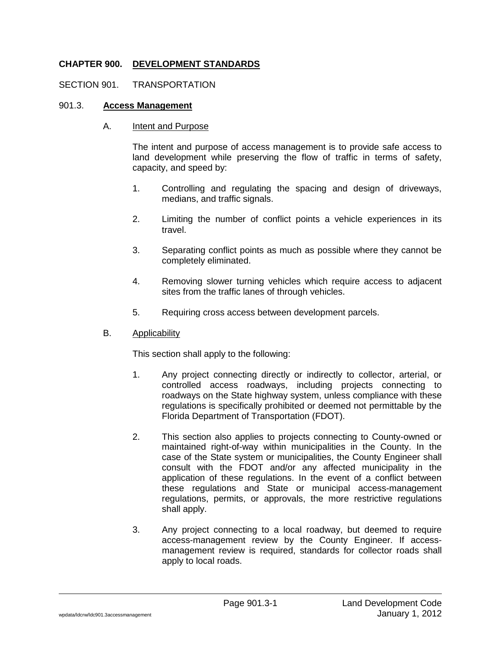## **CHAPTER 900. DEVELOPMENT STANDARDS**

#### SECTION 901. TRANSPORTATION

#### 901.3. **Access Management**

#### A. Intent and Purpose

The intent and purpose of access management is to provide safe access to land development while preserving the flow of traffic in terms of safety, capacity, and speed by:

- 1. Controlling and regulating the spacing and design of driveways, medians, and traffic signals.
- 2. Limiting the number of conflict points a vehicle experiences in its travel.
- 3. Separating conflict points as much as possible where they cannot be completely eliminated.
- 4. Removing slower turning vehicles which require access to adjacent sites from the traffic lanes of through vehicles.
- 5. Requiring cross access between development parcels.

#### B. Applicability

This section shall apply to the following:

- 1. Any project connecting directly or indirectly to collector, arterial, or controlled access roadways, including projects connecting to roadways on the State highway system, unless compliance with these regulations is specifically prohibited or deemed not permittable by the Florida Department of Transportation (FDOT).
- 2. This section also applies to projects connecting to County-owned or maintained right-of-way within municipalities in the County. In the case of the State system or municipalities, the County Engineer shall consult with the FDOT and/or any affected municipality in the application of these regulations. In the event of a conflict between these regulations and State or municipal access-management regulations, permits, or approvals, the more restrictive regulations shall apply.
- 3. Any project connecting to a local roadway, but deemed to require access-management review by the County Engineer. If accessmanagement review is required, standards for collector roads shall apply to local roads.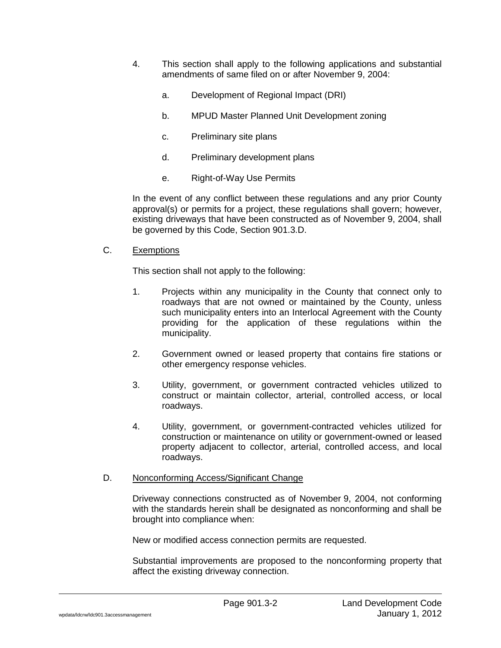- 4. This section shall apply to the following applications and substantial amendments of same filed on or after November 9, 2004:
	- a. Development of Regional Impact (DRI)
	- b. MPUD Master Planned Unit Development zoning
	- c. Preliminary site plans
	- d. Preliminary development plans
	- e. Right-of-Way Use Permits

In the event of any conflict between these regulations and any prior County approval(s) or permits for a project, these regulations shall govern; however, existing driveways that have been constructed as of November 9, 2004, shall be governed by this Code, Section 901.3.D.

#### C. Exemptions

This section shall not apply to the following:

- 1. Projects within any municipality in the County that connect only to roadways that are not owned or maintained by the County, unless such municipality enters into an Interlocal Agreement with the County providing for the application of these regulations within the municipality.
- 2. Government owned or leased property that contains fire stations or other emergency response vehicles.
- 3. Utility, government, or government contracted vehicles utilized to construct or maintain collector, arterial, controlled access, or local roadways.
- 4. Utility, government, or government-contracted vehicles utilized for construction or maintenance on utility or government-owned or leased property adjacent to collector, arterial, controlled access, and local roadways.

#### D. Nonconforming Access/Significant Change

Driveway connections constructed as of November 9, 2004, not conforming with the standards herein shall be designated as nonconforming and shall be brought into compliance when:

New or modified access connection permits are requested.

Substantial improvements are proposed to the nonconforming property that affect the existing driveway connection.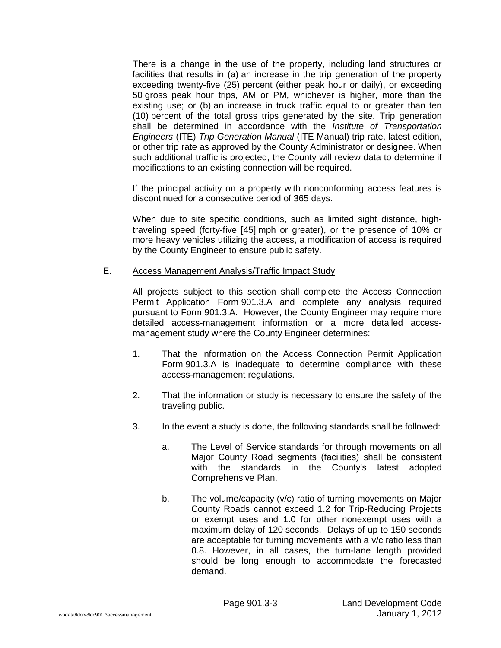There is a change in the use of the property, including land structures or facilities that results in (a) an increase in the trip generation of the property exceeding twenty-five (25) percent (either peak hour or daily), or exceeding 50 gross peak hour trips, AM or PM, whichever is higher, more than the existing use; or (b) an increase in truck traffic equal to or greater than ten (10) percent of the total gross trips generated by the site. Trip generation shall be determined in accordance with the *Institute of Transportation Engineers* (ITE) *Trip Generation Manual* (ITE Manual) trip rate, latest edition, or other trip rate as approved by the County Administrator or designee. When such additional traffic is projected, the County will review data to determine if modifications to an existing connection will be required.

If the principal activity on a property with nonconforming access features is discontinued for a consecutive period of 365 days.

When due to site specific conditions, such as limited sight distance, hightraveling speed (forty-five [45] mph or greater), or the presence of 10% or more heavy vehicles utilizing the access, a modification of access is required by the County Engineer to ensure public safety.

#### E. Access Management Analysis/Traffic Impact Study

All projects subject to this section shall complete the Access Connection Permit Application Form 901.3.A and complete any analysis required pursuant to Form 901.3.A. However, the County Engineer may require more detailed access-management information or a more detailed accessmanagement study where the County Engineer determines:

- 1. That the information on the Access Connection Permit Application Form 901.3.A is inadequate to determine compliance with these access-management regulations.
- 2. That the information or study is necessary to ensure the safety of the traveling public.
- 3. In the event a study is done, the following standards shall be followed:
	- a. The Level of Service standards for through movements on all Major County Road segments (facilities) shall be consistent with the standards in the County's latest adopted Comprehensive Plan.
	- b. The volume/capacity (v/c) ratio of turning movements on Major County Roads cannot exceed 1.2 for Trip-Reducing Projects or exempt uses and 1.0 for other nonexempt uses with a maximum delay of 120 seconds. Delays of up to 150 seconds are acceptable for turning movements with a v/c ratio less than 0.8. However, in all cases, the turn-lane length provided should be long enough to accommodate the forecasted demand.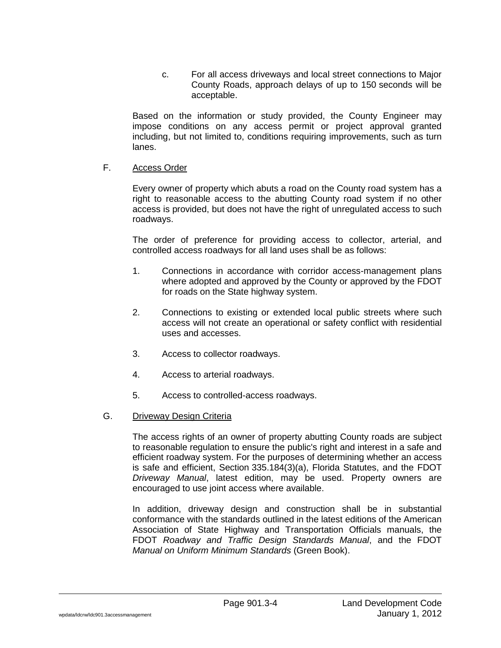c. For all access driveways and local street connections to Major County Roads, approach delays of up to 150 seconds will be acceptable.

Based on the information or study provided, the County Engineer may impose conditions on any access permit or project approval granted including, but not limited to, conditions requiring improvements, such as turn lanes.

#### F. Access Order

Every owner of property which abuts a road on the County road system has a right to reasonable access to the abutting County road system if no other access is provided, but does not have the right of unregulated access to such roadways.

The order of preference for providing access to collector, arterial, and controlled access roadways for all land uses shall be as follows:

- 1. Connections in accordance with corridor access-management plans where adopted and approved by the County or approved by the FDOT for roads on the State highway system.
- 2. Connections to existing or extended local public streets where such access will not create an operational or safety conflict with residential uses and accesses.
- 3. Access to collector roadways.
- 4. Access to arterial roadways.
- 5. Access to controlled-access roadways.
- G. Driveway Design Criteria

The access rights of an owner of property abutting County roads are subject to reasonable regulation to ensure the public's right and interest in a safe and efficient roadway system. For the purposes of determining whether an access is safe and efficient, Section 335.184(3)(a), Florida Statutes, and the FDOT *Driveway Manual*, latest edition, may be used. Property owners are encouraged to use joint access where available.

In addition, driveway design and construction shall be in substantial conformance with the standards outlined in the latest editions of the American Association of State Highway and Transportation Officials manuals, the FDOT *Roadway and Traffic Design Standards Manual*, and the FDOT *Manual on Uniform Minimum Standards* (Green Book).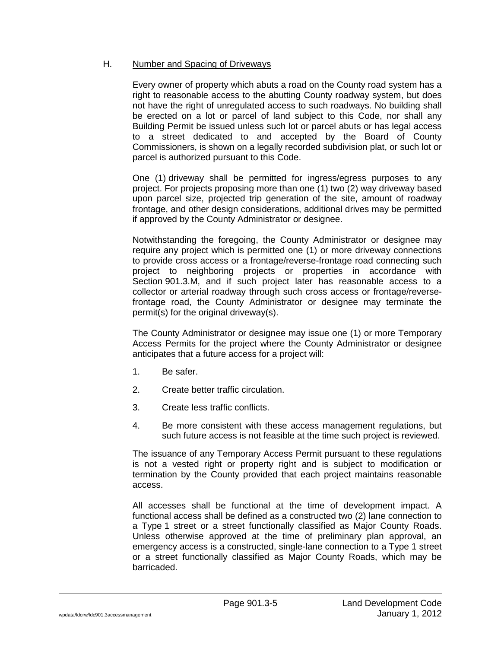#### H. Number and Spacing of Driveways

Every owner of property which abuts a road on the County road system has a right to reasonable access to the abutting County roadway system, but does not have the right of unregulated access to such roadways. No building shall be erected on a lot or parcel of land subject to this Code, nor shall any Building Permit be issued unless such lot or parcel abuts or has legal access to a street dedicated to and accepted by the Board of County Commissioners, is shown on a legally recorded subdivision plat, or such lot or parcel is authorized pursuant to this Code.

One (1) driveway shall be permitted for ingress/egress purposes to any project. For projects proposing more than one (1) two (2) way driveway based upon parcel size, projected trip generation of the site, amount of roadway frontage, and other design considerations, additional drives may be permitted if approved by the County Administrator or designee.

Notwithstanding the foregoing, the County Administrator or designee may require any project which is permitted one (1) or more driveway connections to provide cross access or a frontage/reverse-frontage road connecting such project to neighboring projects or properties in accordance with Section 901.3.M, and if such project later has reasonable access to a collector or arterial roadway through such cross access or frontage/reversefrontage road, the County Administrator or designee may terminate the permit(s) for the original driveway(s).

The County Administrator or designee may issue one (1) or more Temporary Access Permits for the project where the County Administrator or designee anticipates that a future access for a project will:

- 1. Be safer.
- 2. Create better traffic circulation.
- 3. Create less traffic conflicts.
- 4. Be more consistent with these access management regulations, but such future access is not feasible at the time such project is reviewed.

The issuance of any Temporary Access Permit pursuant to these regulations is not a vested right or property right and is subject to modification or termination by the County provided that each project maintains reasonable access.

All accesses shall be functional at the time of development impact. A functional access shall be defined as a constructed two (2) lane connection to a Type 1 street or a street functionally classified as Major County Roads. Unless otherwise approved at the time of preliminary plan approval, an emergency access is a constructed, single-lane connection to a Type 1 street or a street functionally classified as Major County Roads, which may be barricaded.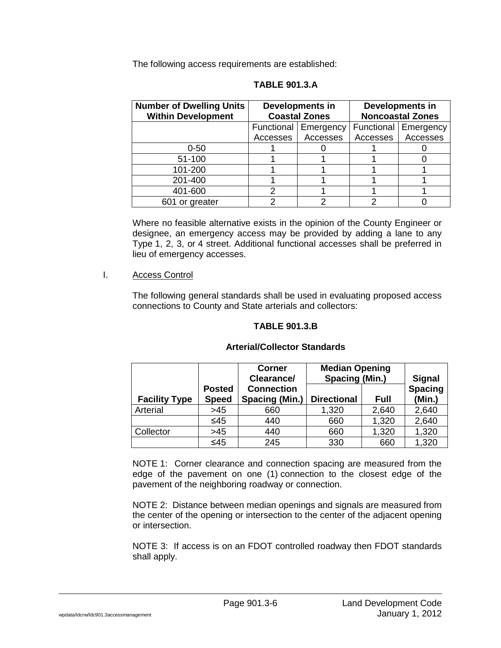The following access requirements are established:

| <b>Number of Dwelling Units</b> | <b>Developments in</b> |                        | <b>Developments in</b>  |                        |
|---------------------------------|------------------------|------------------------|-------------------------|------------------------|
| <b>Within Development</b>       | <b>Coastal Zones</b>   |                        | <b>Noncoastal Zones</b> |                        |
|                                 |                        | Functional   Emergency |                         | Functional   Emergency |
|                                 | Accesses               | Accesses               | Accesses                | Accesses               |
| $0 - 50$                        |                        |                        |                         |                        |
| 51-100                          |                        |                        |                         |                        |
| 101-200                         |                        |                        |                         |                        |
| 201-400                         |                        |                        |                         |                        |
| 401-600                         |                        |                        |                         |                        |
| 601 or greater                  |                        |                        |                         |                        |

**TABLE 901.3.A**

Where no feasible alternative exists in the opinion of the County Engineer or designee, an emergency access may be provided by adding a lane to any Type 1, 2, 3, or 4 street. Additional functional accesses shall be preferred in lieu of emergency accesses.

I. Access Control

The following general standards shall be used in evaluating proposed access connections to County and State arterials and collectors:

#### **TABLE 901.3.B**

#### **Facility Type Posted Speed Corner Clearance/ Connection Spacing (Min.) Median Opening Spacing (Min.) Signal Spacing Directional Full (Min.)** Arterial >45 660 1,320 2,640 2,640 ≤45 440 660 1,320 2,640 Collector | >45 | 440 | 660 | 1,320 | 1,320 ≤45 245 330 660 1,320

#### **Arterial/Collector Standards**

NOTE 1: Corner clearance and connection spacing are measured from the edge of the pavement on one (1) connection to the closest edge of the pavement of the neighboring roadway or connection.

NOTE 2: Distance between median openings and signals are measured from the center of the opening or intersection to the center of the adjacent opening or intersection.

NOTE 3: If access is on an FDOT controlled roadway then FDOT standards shall apply.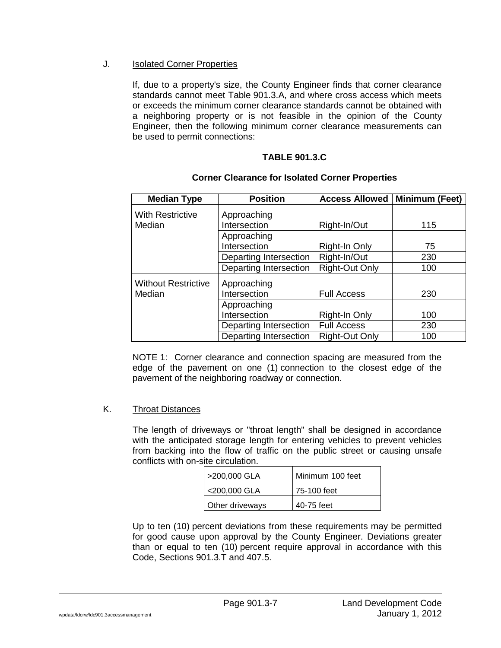#### J. Isolated Corner Properties

If, due to a property's size, the County Engineer finds that corner clearance standards cannot meet Table 901.3.A, and where cross access which meets or exceeds the minimum corner clearance standards cannot be obtained with a neighboring property or is not feasible in the opinion of the County Engineer, then the following minimum corner clearance measurements can be used to permit connections:

# **TABLE 901.3.C**

| <b>Median Type</b>         | <b>Position</b>        | <b>Access Allowed</b> | Minimum (Feet) |
|----------------------------|------------------------|-----------------------|----------------|
| <b>With Restrictive</b>    | Approaching            |                       |                |
| Median                     | Intersection           | Right-In/Out          | 115            |
|                            | Approaching            |                       |                |
|                            | Intersection           | Right-In Only         | 75             |
|                            | Departing Intersection | Right-In/Out          | 230            |
|                            | Departing Intersection | <b>Right-Out Only</b> | 100            |
| <b>Without Restrictive</b> | Approaching            |                       |                |
| Median                     | Intersection           | <b>Full Access</b>    | 230            |
|                            | Approaching            |                       |                |
|                            | Intersection           | Right-In Only         | 100            |
|                            | Departing Intersection | <b>Full Access</b>    | 230            |
|                            | Departing Intersection | <b>Right-Out Only</b> | 100            |

#### **Corner Clearance for Isolated Corner Properties**

NOTE 1: Corner clearance and connection spacing are measured from the edge of the pavement on one (1) connection to the closest edge of the pavement of the neighboring roadway or connection.

#### K. Throat Distances

The length of driveways or "throat length" shall be designed in accordance with the anticipated storage length for entering vehicles to prevent vehicles from backing into the flow of traffic on the public street or causing unsafe conflicts with on-site circulation.

| >200,000 GLA    | Minimum 100 feet |
|-----------------|------------------|
| <200,000 GLA    | 75-100 feet      |
| Other driveways | 40-75 feet       |

Up to ten (10) percent deviations from these requirements may be permitted for good cause upon approval by the County Engineer. Deviations greater than or equal to ten (10) percent require approval in accordance with this Code, Sections 901.3.T and 407.5.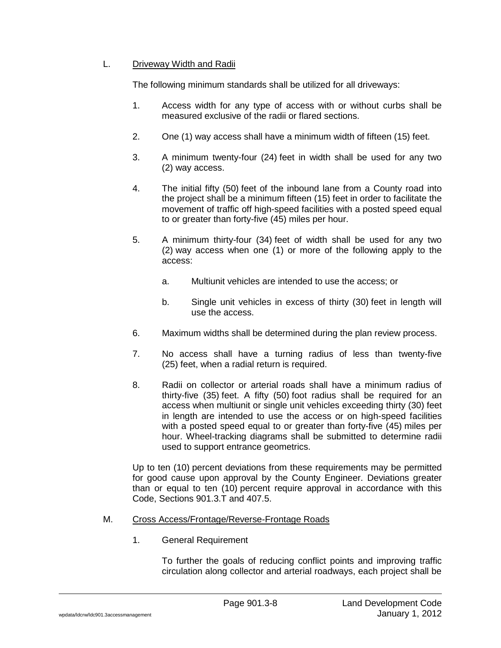# L. Driveway Width and Radii

The following minimum standards shall be utilized for all driveways:

- 1. Access width for any type of access with or without curbs shall be measured exclusive of the radii or flared sections.
- 2. One (1) way access shall have a minimum width of fifteen (15) feet.
- 3. A minimum twenty-four (24) feet in width shall be used for any two (2) way access.
- 4. The initial fifty (50) feet of the inbound lane from a County road into the project shall be a minimum fifteen (15) feet in order to facilitate the movement of traffic off high-speed facilities with a posted speed equal to or greater than forty-five (45) miles per hour.
- 5. A minimum thirty-four (34) feet of width shall be used for any two (2) way access when one (1) or more of the following apply to the access:
	- a. Multiunit vehicles are intended to use the access; or
	- b. Single unit vehicles in excess of thirty (30) feet in length will use the access.
- 6. Maximum widths shall be determined during the plan review process.
- 7. No access shall have a turning radius of less than twenty-five (25) feet, when a radial return is required.
- 8. Radii on collector or arterial roads shall have a minimum radius of thirty-five (35) feet. A fifty (50) foot radius shall be required for an access when multiunit or single unit vehicles exceeding thirty (30) feet in length are intended to use the access or on high-speed facilities with a posted speed equal to or greater than forty-five (45) miles per hour. Wheel-tracking diagrams shall be submitted to determine radii used to support entrance geometrics.

Up to ten (10) percent deviations from these requirements may be permitted for good cause upon approval by the County Engineer. Deviations greater than or equal to ten (10) percent require approval in accordance with this Code, Sections 901.3.T and 407.5.

#### M. Cross Access/Frontage/Reverse-Frontage Roads

1. General Requirement

To further the goals of reducing conflict points and improving traffic circulation along collector and arterial roadways, each project shall be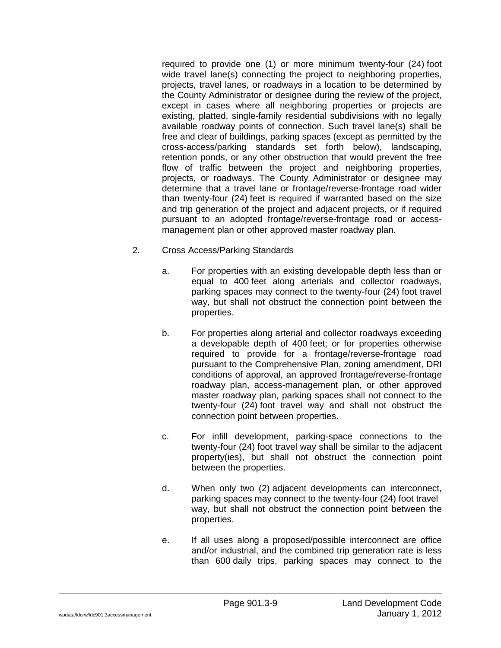required to provide one (1) or more minimum twenty-four (24) foot wide travel lane(s) connecting the project to neighboring properties, projects, travel lanes, or roadways in a location to be determined by the County Administrator or designee during the review of the project, except in cases where all neighboring properties or projects are existing, platted, single-family residential subdivisions with no legally available roadway points of connection. Such travel lane(s) shall be free and clear of buildings, parking spaces (except as permitted by the cross-access/parking standards set forth below), landscaping, retention ponds, or any other obstruction that would prevent the free flow of traffic between the project and neighboring properties, projects, or roadways. The County Administrator or designee may determine that a travel lane or frontage/reverse-frontage road wider than twenty-four (24) feet is required if warranted based on the size and trip generation of the project and adjacent projects, or if required pursuant to an adopted frontage/reverse-frontage road or accessmanagement plan or other approved master roadway plan.

- 2. Cross Access/Parking Standards
	- a. For properties with an existing developable depth less than or equal to 400 feet along arterials and collector roadways, parking spaces may connect to the twenty-four (24) foot travel way, but shall not obstruct the connection point between the properties.
	- b. For properties along arterial and collector roadways exceeding a developable depth of 400 feet; or for properties otherwise required to provide for a frontage/reverse-frontage road pursuant to the Comprehensive Plan, zoning amendment, DRI conditions of approval, an approved frontage/reverse-frontage roadway plan, access-management plan, or other approved master roadway plan, parking spaces shall not connect to the twenty-four (24) foot travel way and shall not obstruct the connection point between properties.
	- c. For infill development, parking-space connections to the twenty-four (24) foot travel way shall be similar to the adjacent property(ies), but shall not obstruct the connection point between the properties.
	- d. When only two (2) adjacent developments can interconnect, parking spaces may connect to the twenty-four (24) foot travel way, but shall not obstruct the connection point between the properties.
	- e. If all uses along a proposed/possible interconnect are office and/or industrial, and the combined trip generation rate is less than 600 daily trips, parking spaces may connect to the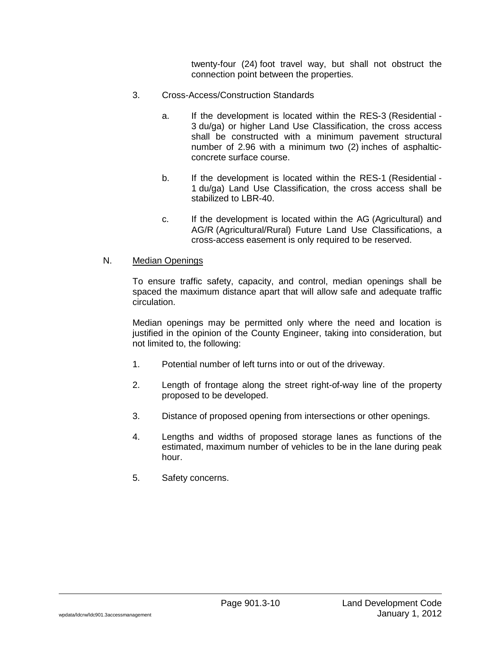twenty-four (24) foot travel way, but shall not obstruct the connection point between the properties.

- 3. Cross-Access/Construction Standards
	- a. If the development is located within the RES-3 (Residential 3 du/ga) or higher Land Use Classification, the cross access shall be constructed with a minimum pavement structural number of 2.96 with a minimum two (2) inches of asphalticconcrete surface course.
	- b. If the development is located within the RES-1 (Residential 1 du/ga) Land Use Classification, the cross access shall be stabilized to LBR-40.
	- c. If the development is located within the AG (Agricultural) and AG/R (Agricultural/Rural) Future Land Use Classifications, a cross-access easement is only required to be reserved.

#### N. Median Openings

To ensure traffic safety, capacity, and control, median openings shall be spaced the maximum distance apart that will allow safe and adequate traffic circulation.

Median openings may be permitted only where the need and location is justified in the opinion of the County Engineer, taking into consideration, but not limited to, the following:

- 1. Potential number of left turns into or out of the driveway.
- 2. Length of frontage along the street right-of-way line of the property proposed to be developed.
- 3. Distance of proposed opening from intersections or other openings.
- 4. Lengths and widths of proposed storage lanes as functions of the estimated, maximum number of vehicles to be in the lane during peak hour.
- 5. Safety concerns.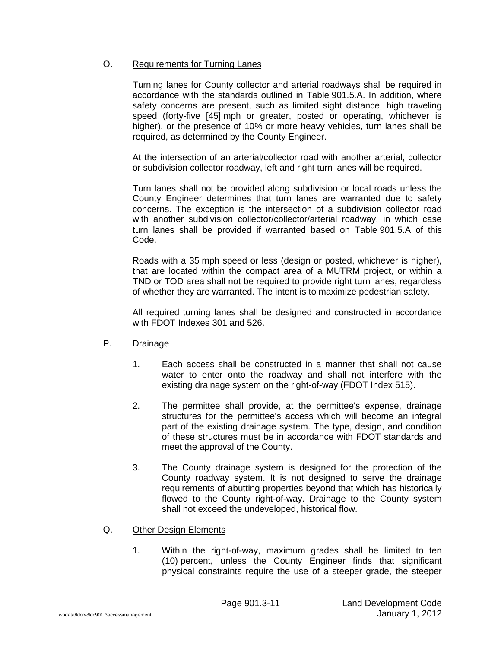#### O. Requirements for Turning Lanes

Turning lanes for County collector and arterial roadways shall be required in accordance with the standards outlined in Table 901.5.A. In addition, where safety concerns are present, such as limited sight distance, high traveling speed (forty-five [45] mph or greater, posted or operating, whichever is higher), or the presence of 10% or more heavy vehicles, turn lanes shall be required, as determined by the County Engineer.

At the intersection of an arterial/collector road with another arterial, collector or subdivision collector roadway, left and right turn lanes will be required.

Turn lanes shall not be provided along subdivision or local roads unless the County Engineer determines that turn lanes are warranted due to safety concerns. The exception is the intersection of a subdivision collector road with another subdivision collector/collector/arterial roadway, in which case turn lanes shall be provided if warranted based on Table 901.5.A of this Code.

Roads with a 35 mph speed or less (design or posted, whichever is higher), that are located within the compact area of a MUTRM project, or within a TND or TOD area shall not be required to provide right turn lanes, regardless of whether they are warranted. The intent is to maximize pedestrian safety.

All required turning lanes shall be designed and constructed in accordance with FDOT Indexes 301 and 526.

- P. Drainage
	- 1. Each access shall be constructed in a manner that shall not cause water to enter onto the roadway and shall not interfere with the existing drainage system on the right-of-way (FDOT Index 515).
	- 2. The permittee shall provide, at the permittee's expense, drainage structures for the permittee's access which will become an integral part of the existing drainage system. The type, design, and condition of these structures must be in accordance with FDOT standards and meet the approval of the County.
	- 3. The County drainage system is designed for the protection of the County roadway system. It is not designed to serve the drainage requirements of abutting properties beyond that which has historically flowed to the County right-of-way. Drainage to the County system shall not exceed the undeveloped, historical flow.
- Q. Other Design Elements
	- 1. Within the right-of-way, maximum grades shall be limited to ten (10) percent, unless the County Engineer finds that significant physical constraints require the use of a steeper grade, the steeper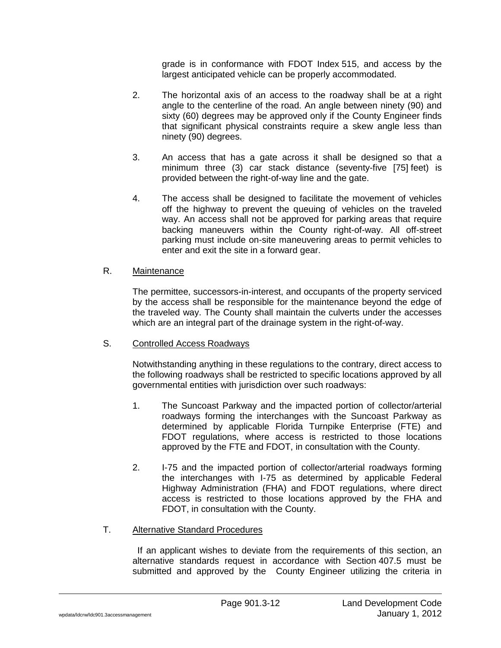grade is in conformance with FDOT Index 515, and access by the largest anticipated vehicle can be properly accommodated.

- 2. The horizontal axis of an access to the roadway shall be at a right angle to the centerline of the road. An angle between ninety (90) and sixty (60) degrees may be approved only if the County Engineer finds that significant physical constraints require a skew angle less than ninety (90) degrees.
- 3. An access that has a gate across it shall be designed so that a minimum three (3) car stack distance (seventy-five [75] feet) is provided between the right-of-way line and the gate.
- 4. The access shall be designed to facilitate the movement of vehicles off the highway to prevent the queuing of vehicles on the traveled way. An access shall not be approved for parking areas that require backing maneuvers within the County right-of-way. All off-street parking must include on-site maneuvering areas to permit vehicles to enter and exit the site in a forward gear.

#### R. Maintenance

The permittee, successors-in-interest, and occupants of the property serviced by the access shall be responsible for the maintenance beyond the edge of the traveled way. The County shall maintain the culverts under the accesses which are an integral part of the drainage system in the right-of-way.

#### S. Controlled Access Roadways

Notwithstanding anything in these regulations to the contrary, direct access to the following roadways shall be restricted to specific locations approved by all governmental entities with jurisdiction over such roadways:

- 1. The Suncoast Parkway and the impacted portion of collector/arterial roadways forming the interchanges with the Suncoast Parkway as determined by applicable Florida Turnpike Enterprise (FTE) and FDOT regulations, where access is restricted to those locations approved by the FTE and FDOT, in consultation with the County.
- 2. I-75 and the impacted portion of collector/arterial roadways forming the interchanges with I-75 as determined by applicable Federal Highway Administration (FHA) and FDOT regulations, where direct access is restricted to those locations approved by the FHA and FDOT, in consultation with the County.

#### T. Alternative Standard Procedures

If an applicant wishes to deviate from the requirements of this section, an alternative standards request in accordance with Section 407.5 must be submitted and approved by the County Engineer utilizing the criteria in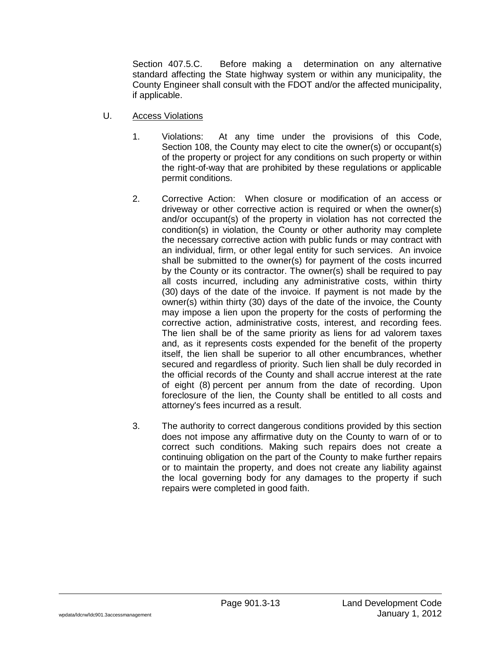Section 407.5.C. Before making a determination on any alternative standard affecting the State highway system or within any municipality, the County Engineer shall consult with the FDOT and/or the affected municipality, if applicable.

- U. Access Violations
	- 1. Violations: At any time under the provisions of this Code, Section 108, the County may elect to cite the owner(s) or occupant(s) of the property or project for any conditions on such property or within the right-of-way that are prohibited by these regulations or applicable permit conditions.
	- 2. Corrective Action: When closure or modification of an access or driveway or other corrective action is required or when the owner(s) and/or occupant(s) of the property in violation has not corrected the condition(s) in violation, the County or other authority may complete the necessary corrective action with public funds or may contract with an individual, firm, or other legal entity for such services. An invoice shall be submitted to the owner(s) for payment of the costs incurred by the County or its contractor. The owner(s) shall be required to pay all costs incurred, including any administrative costs, within thirty (30) days of the date of the invoice. If payment is not made by the owner(s) within thirty (30) days of the date of the invoice, the County may impose a lien upon the property for the costs of performing the corrective action, administrative costs, interest, and recording fees. The lien shall be of the same priority as liens for ad valorem taxes and, as it represents costs expended for the benefit of the property itself, the lien shall be superior to all other encumbrances, whether secured and regardless of priority. Such lien shall be duly recorded in the official records of the County and shall accrue interest at the rate of eight (8) percent per annum from the date of recording. Upon foreclosure of the lien, the County shall be entitled to all costs and attorney's fees incurred as a result.
	- 3. The authority to correct dangerous conditions provided by this section does not impose any affirmative duty on the County to warn of or to correct such conditions. Making such repairs does not create a continuing obligation on the part of the County to make further repairs or to maintain the property, and does not create any liability against the local governing body for any damages to the property if such repairs were completed in good faith.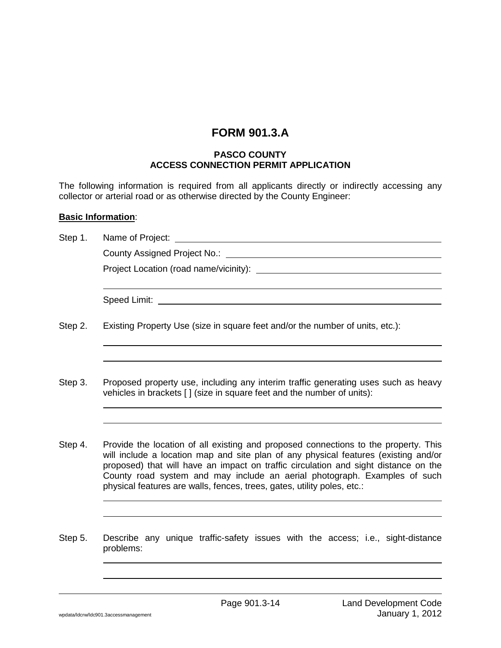# **FORM 901.3.A**

#### **PASCO COUNTY ACCESS CONNECTION PERMIT APPLICATION**

The following information is required from all applicants directly or indirectly accessing any collector or arterial road or as otherwise directed by the County Engineer:

#### **Basic Information**:

| Step 1. | Name of Project: _                                                                                                                                                                                                                                                                                                                                                                                                        |
|---------|---------------------------------------------------------------------------------------------------------------------------------------------------------------------------------------------------------------------------------------------------------------------------------------------------------------------------------------------------------------------------------------------------------------------------|
|         | County Assigned Project No.:                                                                                                                                                                                                                                                                                                                                                                                              |
|         |                                                                                                                                                                                                                                                                                                                                                                                                                           |
|         |                                                                                                                                                                                                                                                                                                                                                                                                                           |
| Step 2. | Existing Property Use (size in square feet and/or the number of units, etc.):                                                                                                                                                                                                                                                                                                                                             |
|         |                                                                                                                                                                                                                                                                                                                                                                                                                           |
| Step 3. | Proposed property use, including any interim traffic generating uses such as heavy<br>vehicles in brackets [] (size in square feet and the number of units):                                                                                                                                                                                                                                                              |
|         |                                                                                                                                                                                                                                                                                                                                                                                                                           |
| Step 4. | Provide the location of all existing and proposed connections to the property. This<br>will include a location map and site plan of any physical features (existing and/or<br>proposed) that will have an impact on traffic circulation and sight distance on the<br>County road system and may include an aerial photograph. Examples of such<br>physical features are walls, fences, trees, gates, utility poles, etc.: |
|         |                                                                                                                                                                                                                                                                                                                                                                                                                           |
| Step 5. | Describe any unique traffic-safety issues with the access; i.e., sight-distance<br>problems:                                                                                                                                                                                                                                                                                                                              |
|         |                                                                                                                                                                                                                                                                                                                                                                                                                           |
|         |                                                                                                                                                                                                                                                                                                                                                                                                                           |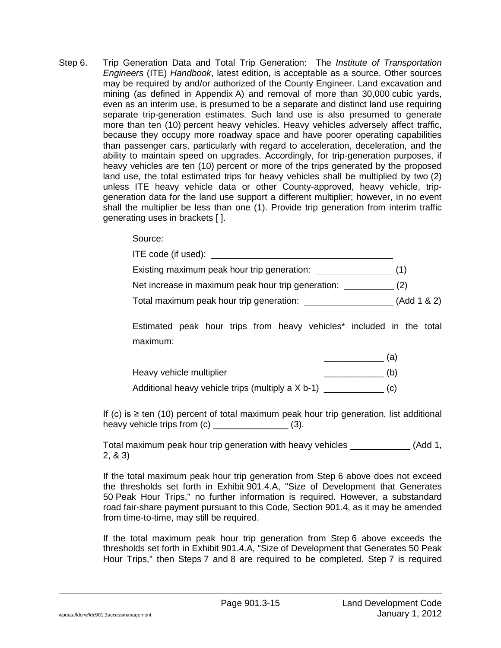Step 6. Trip Generation Data and Total Trip Generation: The *Institute of Transportation Engineers* (ITE) *Handbook*, latest edition, is acceptable as a source. Other sources may be required by and/or authorized of the County Engineer. Land excavation and mining (as defined in Appendix A) and removal of more than 30,000 cubic yards, even as an interim use, is presumed to be a separate and distinct land use requiring separate trip-generation estimates. Such land use is also presumed to generate more than ten (10) percent heavy vehicles. Heavy vehicles adversely affect traffic, because they occupy more roadway space and have poorer operating capabilities than passenger cars, particularly with regard to acceleration, deceleration, and the ability to maintain speed on upgrades. Accordingly, for trip-generation purposes, if heavy vehicles are ten (10) percent or more of the trips generated by the proposed land use, the total estimated trips for heavy vehicles shall be multiplied by two (2) unless ITE heavy vehicle data or other County-approved, heavy vehicle, tripgeneration data for the land use support a different multiplier; however, in no event shall the multiplier be less than one (1). Provide trip generation from interim traffic generating uses in brackets [ ].

| Total maximum peak hour trip generation: _________________________(Add 1 & 2)                |  |
|----------------------------------------------------------------------------------------------|--|
| Estimated peak hour trips from heavy vehicles <sup>*</sup> included in the total<br>maximum: |  |
|                                                                                              |  |
| Heavy vehicle multiplier<br>$\frac{\ }{\ }$ (b)                                              |  |
| Additional heavy vehicle trips (multiply a X b-1) ______________ (c)                         |  |
|                                                                                              |  |

If (c) is ≥ ten (10) percent of total maximum peak hour trip generation, list additional heavy vehicle trips from (c) \_\_\_\_\_\_\_\_\_\_\_\_\_\_\_ (3).

Total maximum peak hour trip generation with heavy vehicles \_\_\_\_\_\_\_\_\_\_\_\_ (Add 1, 2, & 3)

If the total maximum peak hour trip generation from Step 6 above does not exceed the thresholds set forth in Exhibit 901.4.A, "Size of Development that Generates 50 Peak Hour Trips," no further information is required. However, a substandard road fair-share payment pursuant to this Code, Section 901.4, as it may be amended from time-to-time, may still be required.

If the total maximum peak hour trip generation from Step 6 above exceeds the thresholds set forth in Exhibit 901.4.A, "Size of Development that Generates 50 Peak Hour Trips," then Steps 7 and 8 are required to be completed. Step 7 is required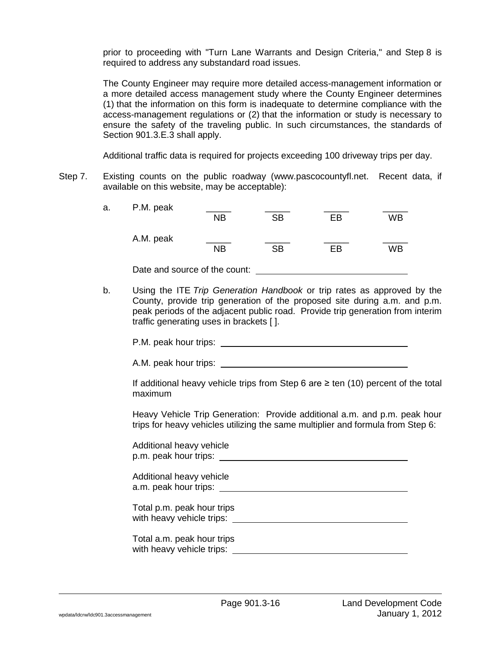prior to proceeding with "Turn Lane Warrants and Design Criteria," and Step 8 is required to address any substandard road issues.

The County Engineer may require more detailed access-management information or a more detailed access management study where the County Engineer determines (1) that the information on this form is inadequate to determine compliance with the access-management regulations or (2) that the information or study is necessary to ensure the safety of the traveling public. In such circumstances, the standards of Section 901.3.E.3 shall apply.

Additional traffic data is required for projects exceeding 100 driveway trips per day.

Step 7. Existing counts on the public roadway (www.pascocountyfl.net. Recent data, if available on this website, may be acceptable):

| a. | P.M. peak                     |           |           |    |    |
|----|-------------------------------|-----------|-----------|----|----|
|    |                               | <b>NB</b> | SB        | FB | WB |
|    | A.M. peak                     |           |           |    |    |
|    |                               | <b>NB</b> | <b>SB</b> | FB | WB |
|    | Date and source of the count: |           |           |    |    |

b. Using the ITE *Trip Generation Handbook* or trip rates as approved by the County, provide trip generation of the proposed site during a.m. and p.m. peak periods of the adjacent public road. Provide trip generation from interim traffic generating uses in brackets [ ].

P.M. peak hour trips:

A.M. peak hour trips:

If additional heavy vehicle trips from Step 6 are  $\ge$  ten (10) percent of the total maximum

Heavy Vehicle Trip Generation: Provide additional a.m. and p.m. peak hour trips for heavy vehicles utilizing the same multiplier and formula from Step 6:

| Additional heavy vehicle<br>p.m. peak hour trips: |  |
|---------------------------------------------------|--|
| Additional heavy vehicle<br>a.m. peak hour trips: |  |

Total p.m. peak hour trips with heavy vehicle trips: **with heavy** vehicle trips:

Total a.m. peak hour trips with heavy vehicle trips:  $\sqrt{\frac{m}{n}}$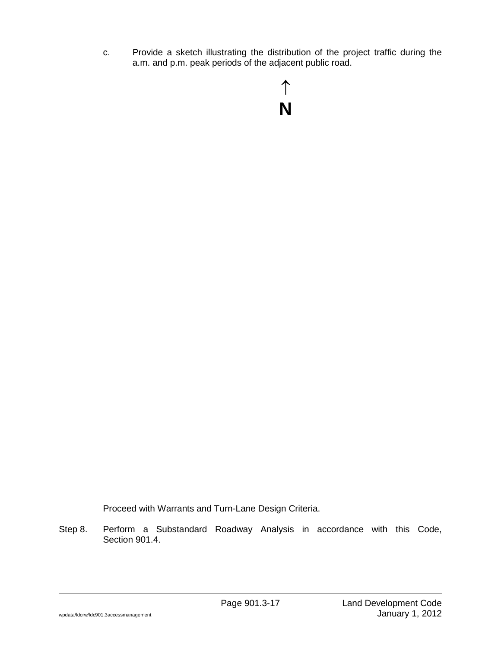c. Provide a sketch illustrating the distribution of the project traffic during the a.m. and p.m. peak periods of the adjacent public road.

Proceed with Warrants and Turn-Lane Design Criteria.

Step 8. Perform a Substandard Roadway Analysis in accordance with this Code, Section 901.4.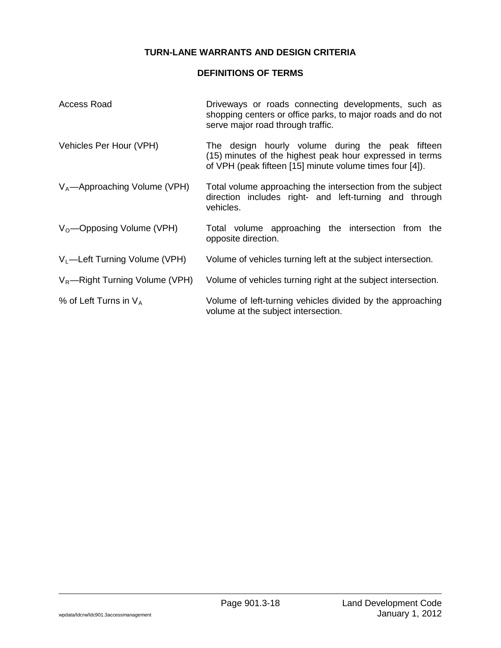# **TURN-LANE WARRANTS AND DESIGN CRITERIA**

# **DEFINITIONS OF TERMS**

| Access Road                               | Driveways or roads connecting developments, such as<br>shopping centers or office parks, to major roads and do not<br>serve major road through traffic.                  |
|-------------------------------------------|--------------------------------------------------------------------------------------------------------------------------------------------------------------------------|
| Vehicles Per Hour (VPH)                   | The design hourly volume during the peak fifteen<br>(15) minutes of the highest peak hour expressed in terms<br>of VPH (peak fifteen [15] minute volume times four [4]). |
| $V_A$ —Approaching Volume (VPH)           | Total volume approaching the intersection from the subject<br>direction includes right- and left-turning and through<br>vehicles.                                        |
| $V_0$ —Opposing Volume (VPH)              | Total volume approaching the intersection from the<br>opposite direction.                                                                                                |
| V <sub>1</sub> -Left Turning Volume (VPH) | Volume of vehicles turning left at the subject intersection.                                                                                                             |
| $V_R$ —Right Turning Volume (VPH)         | Volume of vehicles turning right at the subject intersection.                                                                                                            |
| % of Left Turns in $V_A$                  | Volume of left-turning vehicles divided by the approaching<br>volume at the subject intersection.                                                                        |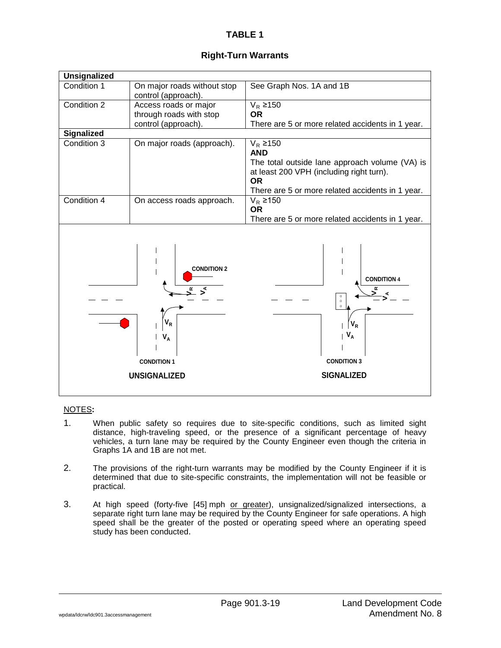| On major roads without stop                                                       | See Graph Nos. 1A and 1B                                                                                              |  |
|-----------------------------------------------------------------------------------|-----------------------------------------------------------------------------------------------------------------------|--|
| control (approach).                                                               |                                                                                                                       |  |
| Access roads or major                                                             | $V_R$ ≥150                                                                                                            |  |
| through roads with stop                                                           | <b>OR</b>                                                                                                             |  |
|                                                                                   | There are 5 or more related accidents in 1 year.                                                                      |  |
|                                                                                   |                                                                                                                       |  |
| On major roads (approach).                                                        | $V_R$ ≥150                                                                                                            |  |
|                                                                                   | <b>AND</b>                                                                                                            |  |
|                                                                                   | The total outside lane approach volume (VA) is                                                                        |  |
|                                                                                   | at least 200 VPH (including right turn).                                                                              |  |
|                                                                                   | <b>OR</b>                                                                                                             |  |
|                                                                                   | There are 5 or more related accidents in 1 year.                                                                      |  |
|                                                                                   | $V_R$ ≥150                                                                                                            |  |
|                                                                                   | <b>OR</b>                                                                                                             |  |
|                                                                                   | There are 5 or more related accidents in 1 year.                                                                      |  |
| <b>CONDITION 2</b><br>$V_R$<br>$V_A$<br><b>CONDITION 1</b><br><b>UNSIGNALIZED</b> | <b>CONDITION 4</b><br>ĸ<br>$\circ$<br>$\circ$<br>$\circ$<br>$V_R$<br>$V_A$<br><b>CONDITION 3</b><br><b>SIGNALIZED</b> |  |
|                                                                                   | control (approach).<br>On access roads approach.                                                                      |  |

- 1. When public safety so requires due to site-specific conditions, such as limited sight distance, high-traveling speed, or the presence of a significant percentage of heavy vehicles, a turn lane may be required by the County Engineer even though the criteria in Graphs 1A and 1B are not met.
- 2. The provisions of the right-turn warrants may be modified by the County Engineer if it is determined that due to site-specific constraints, the implementation will not be feasible or practical.
- 3. At high speed (forty-five [45] mph or greater), unsignalized/signalized intersections, a separate right turn lane may be required by the County Engineer for safe operations. A high speed shall be the greater of the posted or operating speed where an operating speed study has been conducted.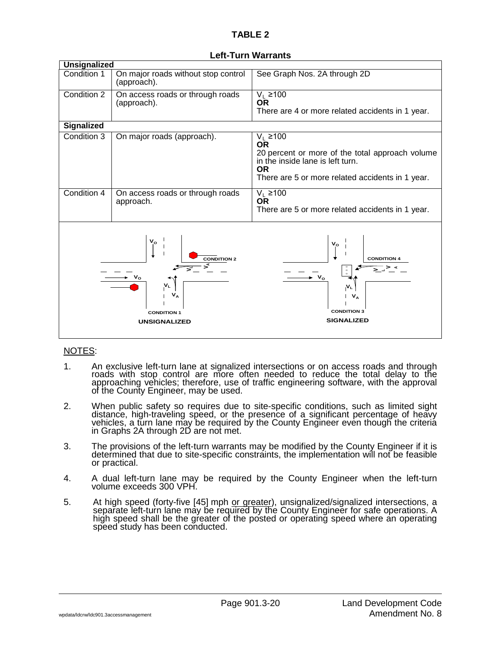| <b>Unsignalized</b>                                                                                                     |                                                    |                                                                                                                                                                                 |  |
|-------------------------------------------------------------------------------------------------------------------------|----------------------------------------------------|---------------------------------------------------------------------------------------------------------------------------------------------------------------------------------|--|
| Condition 1                                                                                                             | On major roads without stop control<br>(approach). | See Graph Nos. 2A through 2D                                                                                                                                                    |  |
| Condition 2                                                                                                             | On access roads or through roads<br>(approach).    | $V_L$ ≥100<br><b>OR</b><br>There are 4 or more related accidents in 1 year.                                                                                                     |  |
| Signalized                                                                                                              |                                                    |                                                                                                                                                                                 |  |
| Condition 3                                                                                                             | On major roads (approach).                         | $V_L$ ≥100<br><b>OR</b><br>20 percent or more of the total approach volume<br>in the inside lane is left turn.<br><b>OR</b><br>There are 5 or more related accidents in 1 year. |  |
| Condition 4                                                                                                             | On access roads or through roads<br>approach.      | $V_L$ ≥100<br><b>OR</b><br>There are 5 or more related accidents in 1 year.                                                                                                     |  |
| $\mathsf{v}_{\mathsf{p}}$<br><b>CONDITION 2</b><br>$\mathbf{V}_\mathbf{A}$<br><b>CONDITION 1</b><br><b>UNSIGNALIZED</b> |                                                    | $V_{\rm o}$<br><b>CONDITION 4</b><br>$\circ$ $\circ$<br>$\bullet$ V <sub>o</sub><br>N <sub>L</sub><br>$V_A$<br><b>CONDITION 3</b><br><b>SIGNALIZED</b>                          |  |

#### **Left-Turn Warrants**

- 1. An exclusive left-turn lane at signalized intersections or on access roads and through<br>roads with stop control are more often needed to reduce the total delay to the<br>approaching vehicles; therefore, use of traffic engin of the County Engineer, may be used.
- 2. When public safety so requires due to site-specific conditions, such as limited sight<br>distance, high-traveling speed, or the presence of a significant percentage of heavy<br>vehicles, a turn lane may be required by the Cou in Graphs 2A through 2D are not met.
- 3. The provisions of the left-turn warrants may be modified by the County Engineer if it is determined that due to site-specific constraints, the implementation will not be feasible or practical.
- 4. A dual left-turn lane may be required by the County Engineer when the left-turn volume exceeds 300 VPH.
- 5. At high speed (forty-five [45] mph <u>or greater</u>), unsignalized/signalized intersections, a<br>separate left-turn lane may be required by the County Engineer for safe operations. A high speed shall be the greater of the posted or operating speed where an operating speed study has been conducted.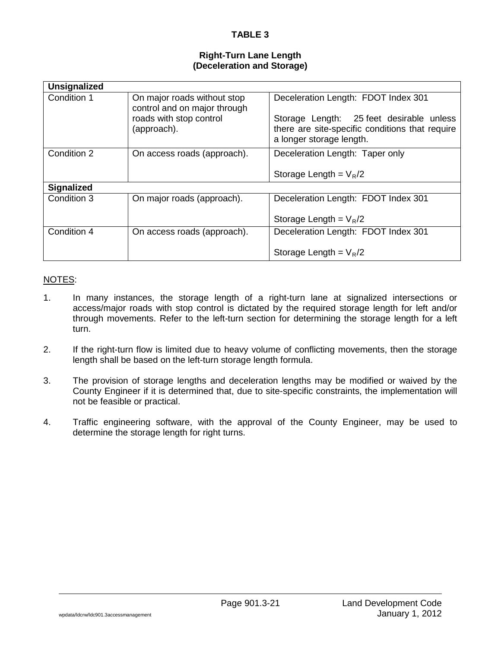#### **Right-Turn Lane Length (Deceleration and Storage)**

| <b>Unsignalized</b> |                                                                                                       |                                                                                                                                                                |
|---------------------|-------------------------------------------------------------------------------------------------------|----------------------------------------------------------------------------------------------------------------------------------------------------------------|
| Condition 1         | On major roads without stop<br>control and on major through<br>roads with stop control<br>(approach). | Deceleration Length: FDOT Index 301<br>Storage Length: 25 feet desirable unless<br>there are site-specific conditions that require<br>a longer storage length. |
| Condition 2         | On access roads (approach).                                                                           | Deceleration Length: Taper only<br>Storage Length = $V_R/2$                                                                                                    |
| <b>Signalized</b>   |                                                                                                       |                                                                                                                                                                |
| Condition 3         | On major roads (approach).                                                                            | Deceleration Length: FDOT Index 301                                                                                                                            |
|                     |                                                                                                       | Storage Length = $V_R/2$                                                                                                                                       |
| Condition 4         | On access roads (approach).                                                                           | Deceleration Length: FDOT Index 301                                                                                                                            |
|                     |                                                                                                       | Storage Length = $V_R/2$                                                                                                                                       |

- 1. In many instances, the storage length of a right-turn lane at signalized intersections or access/major roads with stop control is dictated by the required storage length for left and/or through movements. Refer to the left-turn section for determining the storage length for a left turn.
- 2. If the right-turn flow is limited due to heavy volume of conflicting movements, then the storage length shall be based on the left-turn storage length formula.
- 3. The provision of storage lengths and deceleration lengths may be modified or waived by the County Engineer if it is determined that, due to site-specific constraints, the implementation will not be feasible or practical.
- 4. Traffic engineering software, with the approval of the County Engineer, may be used to determine the storage length for right turns.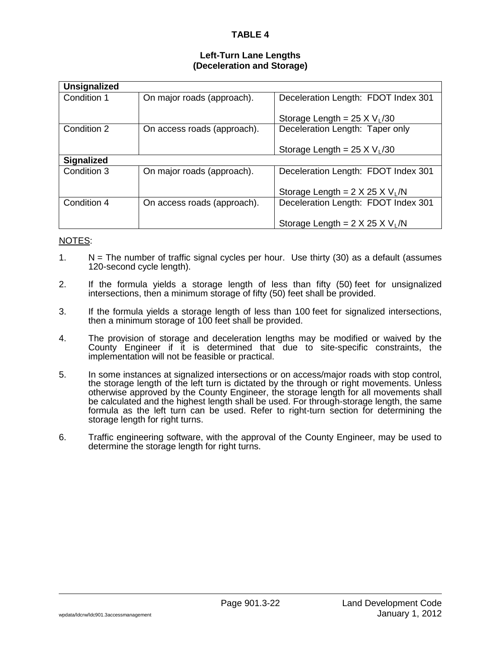#### **Left-Turn Lane Lengths (Deceleration and Storage)**

| <b>Unsignalized</b> |                             |                                             |  |  |  |  |
|---------------------|-----------------------------|---------------------------------------------|--|--|--|--|
| Condition 1         | On major roads (approach).  | Deceleration Length: FDOT Index 301         |  |  |  |  |
|                     |                             | Storage Length = $25 \times V_L/30$         |  |  |  |  |
| Condition 2         | On access roads (approach). | Deceleration Length: Taper only             |  |  |  |  |
|                     |                             | Storage Length = $25 \times V_L/30$         |  |  |  |  |
| <b>Signalized</b>   |                             |                                             |  |  |  |  |
| Condition 3         | On major roads (approach).  | Deceleration Length: FDOT Index 301         |  |  |  |  |
|                     |                             | Storage Length = $2 \times 25 \times V_L/N$ |  |  |  |  |
| Condition 4         | On access roads (approach). | Deceleration Length: FDOT Index 301         |  |  |  |  |
|                     |                             | Storage Length = $2 \times 25 \times V_1/N$ |  |  |  |  |

- 1. N = The number of traffic signal cycles per hour. Use thirty (30) as a default (assumes 120-second cycle length).
- 2. If the formula yields a storage length of less than fifty (50) feet for unsignalized intersections, then a minimum storage of fifty (50) feet shall be provided.
- 3. If the formula yields a storage length of less than 100 feet for signalized intersections, then a minimum storage of 100 feet shall be provided.
- 4. The provision of storage and deceleration lengths may be modified or waived by the County Engineer if it is determined that due to site-specific constraints, the implementation will not be feasible or practical.
- 5. In some instances at signalized intersections or on access/major roads with stop control, the storage length of the left turn is dictated by the through or right movements. Unless otherwise approved by the County Engineer, the storage length for all movements shall be calculated and the highest length shall be used. For through-storage length, the same formula as the left turn can be used. Refer to right-turn section for determining the storage length for right turns.
- 6. Traffic engineering software, with the approval of the County Engineer, may be used to determine the storage length for right turns.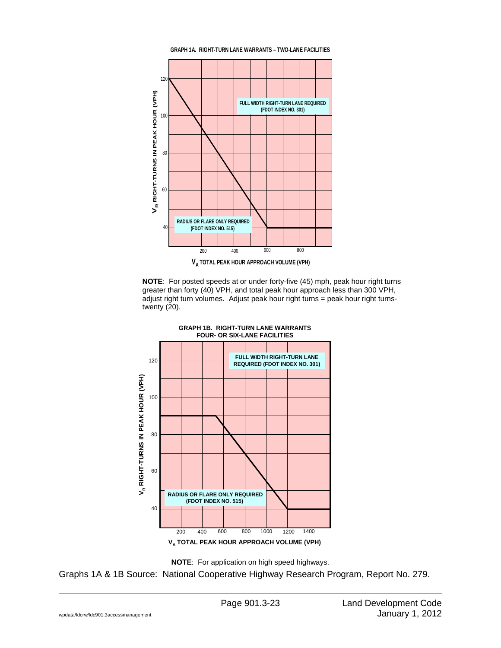

**NOTE**: For posted speeds at or under forty-five (45) mph, peak hour right turns greater than forty (40) VPH, and total peak hour approach less than 300 VPH, adjust right turn volumes. Adjust peak hour right turns = peak hour right turnstwenty (20).





Graphs 1A & 1B Source: National Cooperative Highway Research Program, Report No. 279.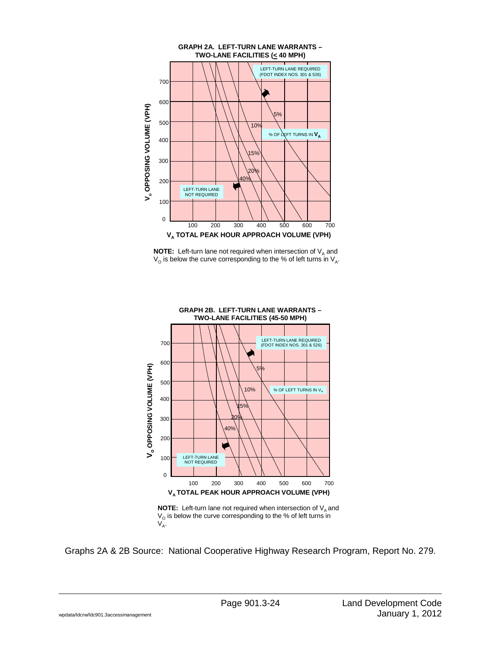

**NOTE:** Left-turn lane not required when intersection of  $V_A$  and  $V_{\rm O}$  is below the curve corresponding to the % of left turns in  $V_{\rm A}$ .



Graphs 2A & 2B Source: National Cooperative Highway Research Program, Report No. 279.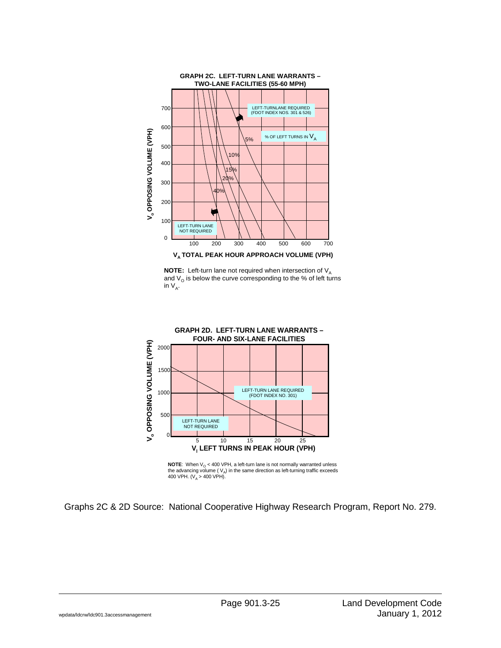

**NOTE:** Left-turn lane not required when intersection of  $V_{A}$ and  $V<sub>o</sub>$  is below the curve corresponding to the % of left turns in  $V_A$ .



**NOTE:** When  $V_0$  < 400 VPH, a left-turn lane is not normally warranted unless the advancing volume ( $V_A$ ) in the same direction as left-turning traffic exceeds 400 VPH.  $(V_A > 400 \text{ VPH}).$ 

Graphs 2C & 2D Source: National Cooperative Highway Research Program, Report No. 279.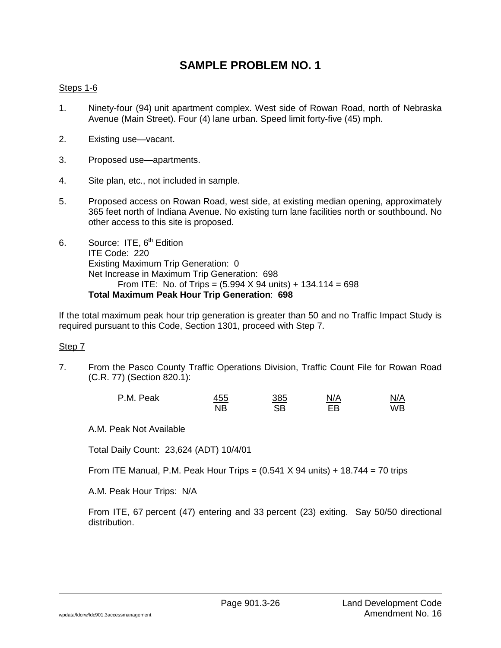# **SAMPLE PROBLEM NO. 1**

## Steps 1-6

- 1. Ninety-four (94) unit apartment complex. West side of Rowan Road, north of Nebraska Avenue (Main Street). Four (4) lane urban. Speed limit forty-five (45) mph.
- 2. Existing use—vacant.
- 3. Proposed use—apartments.
- 4. Site plan, etc., not included in sample.
- 5. Proposed access on Rowan Road, west side, at existing median opening, approximately 365 feet north of Indiana Avenue. No existing turn lane facilities north or southbound. No other access to this site is proposed.
- 6. Source: ITE,  $6<sup>th</sup>$  Edition ITE Code: 220 Existing Maximum Trip Generation: 0 Net Increase in Maximum Trip Generation: 698 From ITE: No. of Trips =  $(5.994 \times 94 \text{ units}) + 134.114 = 698$ **Total Maximum Peak Hour Trip Generation**: **698**

If the total maximum peak hour trip generation is greater than 50 and no Traffic Impact Study is required pursuant to this Code, Section 1301, proceed with Step 7.

#### Step 7

7. From the Pasco County Traffic Operations Division, Traffic Count File for Rowan Road (C.R. 77) (Section 820.1):

| P.M. Peak | <u>455</u> | <u>385</u> | N/A | N/A |
|-----------|------------|------------|-----|-----|
|           | <b>NB</b>  | SВ         | EB  | WB  |

A.M. Peak Not Available

Total Daily Count: 23,624 (ADT) 10/4/01

From ITE Manual, P.M. Peak Hour Trips =  $(0.541 \times 94 \text{ units}) + 18.744 = 70 \text{ trips}$ 

A.M. Peak Hour Trips: N/A

From ITE, 67 percent (47) entering and 33 percent (23) exiting. Say 50/50 directional distribution.